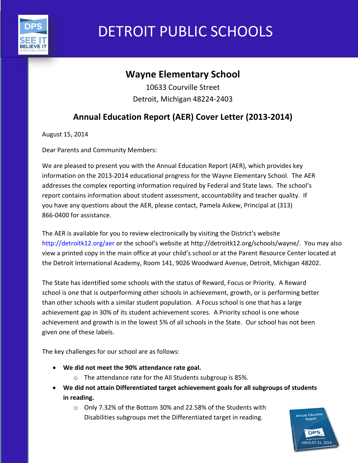

# DETROIT PUBLIC SCHOOLS

# **Wayne Elementary School**

10633 Courville Street Detroit, Michigan 48224-2403

# **Annual Education Report (AER) Cover Letter (2013-2014)**

August 15, 2014

Dear Parents and Community Members:

We are pleased to present you with the Annual Education Report (AER), which provides key information on the 2013-2014 educational progress for the Wayne Elementary School. The AER addresses the complex reporting information required by Federal and State laws. The school's report contains information about student assessment, accountability and teacher quality. If you have any questions about the AER, please contact, Pamela Askew, Principal at (313) 866-0400 for assistance.

The AER is available for you to review electronically by visiting the District's website http://detroitk12.org/aer or the school's website at http://detroitk12.org/schools/wayne/. You may also view a printed copy in the main office at your child's school or at the Parent Resource Center located at the Detroit International Academy, Room 141, 9026 Woodward Avenue, Detroit, Michigan 48202.

The State has identified some schools with the status of Reward, Focus or Priority. A Reward school is one that is outperforming other schools in achievement, growth, or is performing better than other schools with a similar student population. A Focus school is one that has a large achievement gap in 30% of its student achievement scores. A Priority school is one whose achievement and growth is in the lowest 5% of all schools in the State. Our school has not been given one of these labels.

The key challenges for our school are as follows:

- **We did not meet the 90% attendance rate goal.**
	- o The attendance rate for the All Students subgroup is 85%.
- **We did not attain Differentiated target achievement goals for all subgroups of students in reading.**
	- o Only 7.32% of the Bottom 30% and 22.58% of the Students with Disabilities subgroups met the Differentiated target in reading.

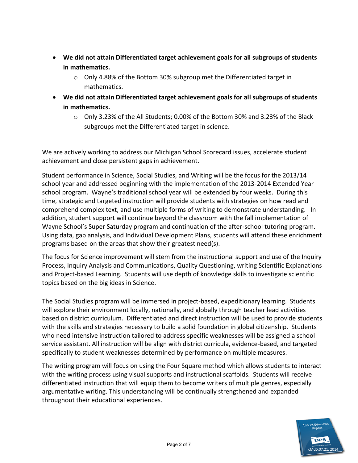- **We did not attain Differentiated target achievement goals for all subgroups of students in mathematics.** 
	- o Only 4.88% of the Bottom 30% subgroup met the Differentiated target in mathematics.
- **We did not attain Differentiated target achievement goals for all subgroups of students in mathematics.** 
	- $\circ$  Only 3.23% of the All Students; 0.00% of the Bottom 30% and 3.23% of the Black subgroups met the Differentiated target in science.

We are actively working to address our Michigan School Scorecard issues, accelerate student achievement and close persistent gaps in achievement.

Student performance in Science, Social Studies, and Writing will be the focus for the 2013/14 school year and addressed beginning with the implementation of the 2013-2014 Extended Year school program. Wayne's traditional school year will be extended by four weeks. During this time, strategic and targeted instruction will provide students with strategies on how read and comprehend complex text, and use multiple forms of writing to demonstrate understanding. In addition, student support will continue beyond the classroom with the fall implementation of Wayne School's Super Saturday program and continuation of the after-school tutoring program. Using data, gap analysis, and Individual Development Plans, students will attend these enrichment programs based on the areas that show their greatest need(s).

The focus for Science improvement will stem from the instructional support and use of the Inquiry Process, Inquiry Analysis and Communications, Quality Questioning, writing Scientific Explanations and Project-based Learning. Students will use depth of knowledge skills to investigate scientific topics based on the big ideas in Science.

The Social Studies program will be immersed in project-based, expeditionary learning. Students will explore their environment locally, nationally, and globally through teacher lead activities based on district curriculum. Differentiated and direct instruction will be used to provide students with the skills and strategies necessary to build a solid foundation in global citizenship. Students who need intensive instruction tailored to address specific weaknesses will be assigned a school service assistant. All instruction will be align with district curricula, evidence-based, and targeted specifically to student weaknesses determined by performance on multiple measures.

The writing program will focus on using the Four Square method which allows students to interact with the writing process using visual supports and instructional scaffolds. Students will receive differentiated instruction that will equip them to become writers of multiple genres, especially argumentative writing. This understanding will be continually strengthened and expanded throughout their educational experiences.

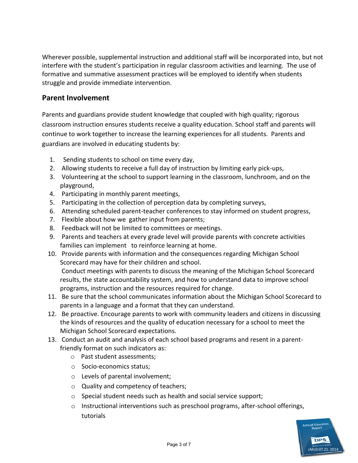Wherever possible, supplemental instruction and additional staff will be incorporated into, but not interfere with the student's participation in regular classroom activities and learning. The use of formative and summative assessment practices will be employed to identify when students struggle and provide immediate intervention.

#### **Parent Involvement**

Parents and guardians provide student knowledge that coupled with high quality; rigorous classroom instruction ensures students receive a quality education. School staff and parents will continue to work together to increase the learning experiences for all students. Parents and guardians are involved in educating students by:

- 1. Sending students to school on time every day,
- 2. Allowing students to receive a full day of instruction by limiting early pick-ups,
- 3. Volunteering at the school to support learning in the classroom, lunchroom, and on the playground,
- 4. Participating in monthly parent meetings,
- 5. Participating in the collection of perception data by completing surveys,
- 6. Attending scheduled parent-teacher conferences to stay informed on student progress,
- 7. Flexible about how we gather input from parents;
- 8. Feedback will not be limited to committees or meetings.
- 9. Parents and teachers at every grade level will provide parents with concrete activities families can implement to reinforce learning at home.
- 10. Provide parents with information and the consequences regarding Michigan School Scorecard may have for their children and school. Conduct meetings with parents to discuss the meaning of the Michigan School Scorecard results, the state accountability system, and how to understand data to improve school programs, instruction and the resources required for change.
- 11. Be sure that the school communicates information about the Michigan School Scorecard to parents in a language and a format that they can understand.
- 12. Be proactive. Encourage parents to work with community leaders and citizens in discussing the kinds of resources and the quality of education necessary for a school to meet the Michigan School Scorecard expectations.
- 13. Conduct an audit and analysis of each school based programs and resent in a parentfriendly format on such indicators as:
	- o Past student assessments;
	- o Socio-economics status;
	- o Levels of parental involvement;
	- o Quality and competency of teachers;
	- o Special student needs such as health and social service support;
	- $\circ$  Instructional interventions such as preschool programs, after-school offerings, tutorials

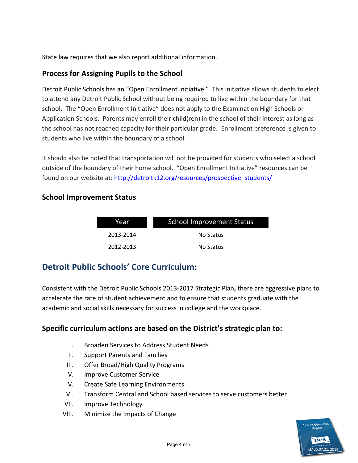State law requires that we also report additional information.

#### **Process for Assigning Pupils to the School**

Detroit Public Schools has an "Open Enrollment Initiative." This initiative allows students to elect to attend any Detroit Public School without being required to live within the boundary for that school. The "Open Enrollment Initiative" does not apply to the Examination High Schools or Application Schools. Parents may enroll their child(ren) in the school of their interest as long as the school has not reached capacity for their particular grade. Enrollment preference is given to students who live within the boundary of a school.

It should also be noted that transportation will not be provided for students who select a school outside of the boundary of their home school. "Open Enrollment Initiative" resources can be found on our website at: [http://detroitk12.org/resources/prospective\\_students/](http://detroitk12.org/resources/prospective_students/)

#### **School Improvement Status**

| Year      | <b>School Improvement Status</b> |  |
|-----------|----------------------------------|--|
| 2013-2014 | No Status                        |  |
| 2012-2013 | No Status                        |  |

## **Detroit Public Schools' Core Curriculum:**

Consistent with the Detroit Public Schools 2013-2017 Strategic Plan**,** there are aggressive plans to accelerate the rate of student achievement and to ensure that students graduate with the academic and social skills necessary for success in college and the workplace.

#### **Specific curriculum actions are based on the District's strategic plan to:**

- I. Broaden Services to Address Student Needs
- II. Support Parents and Families
- III. Offer Broad/High Quality Programs
- IV. Improve Customer Service
- V. Create Safe Learning Environments
- VI. Transform Central and School based services to serve customers better
- VII. Improve Technology
- VIII. Minimize the Impacts of Change

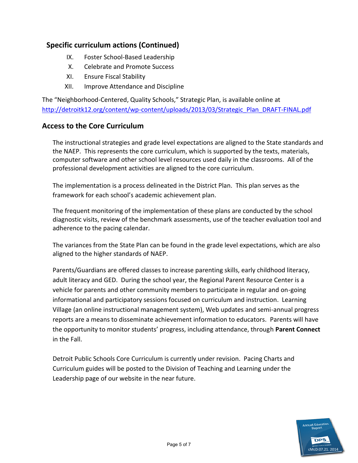#### **Specific curriculum actions (Continued)**

- IX. Foster School-Based Leadership
- X. Celebrate and Promote Success
- XI. Ensure Fiscal Stability
- XII. Improve Attendance and Discipline

The "Neighborhood-Centered, Quality Schools," Strategic Plan, is available online at [http://detroitk12.org/content/wp-content/uploads/2013/03/Strategic\\_Plan\\_DRAFT-FINAL.pdf](http://detroitk12.org/content/wp-content/uploads/2013/03/Strategic_Plan_DRAFT-FINAL.pdf)

#### **Access to the Core Curriculum**

The instructional strategies and grade level expectations are aligned to the State standards and the NAEP. This represents the core curriculum, which is supported by the texts, materials, computer software and other school level resources used daily in the classrooms. All of the professional development activities are aligned to the core curriculum.

The implementation is a process delineated in the District Plan. This plan serves as the framework for each school's academic achievement plan.

The frequent monitoring of the implementation of these plans are conducted by the school diagnostic visits, review of the benchmark assessments, use of the teacher evaluation tool and adherence to the pacing calendar.

The variances from the State Plan can be found in the grade level expectations, which are also aligned to the higher standards of NAEP.

Parents/Guardians are offered classes to increase parenting skills, early childhood literacy, adult literacy and GED. During the school year, the Regional Parent Resource Center is a vehicle for parents and other community members to participate in regular and on-going informational and participatory sessions focused on curriculum and instruction. Learning Village (an online instructional management system), Web updates and semi-annual progress reports are a means to disseminate achievement information to educators. Parents will have the opportunity to monitor students' progress, including attendance, through **Parent Connect**  in the Fall.

Detroit Public Schools Core Curriculum is currently under revision. Pacing Charts and Curriculum guides will be posted to the Division of Teaching and Learning under the Leadership page of our website in the near future.

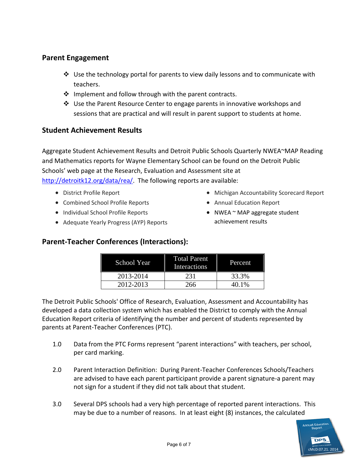#### **Parent Engagement**

- $\div$  Use the technology portal for parents to view daily lessons and to communicate with teachers.
- $\cdot \cdot$  Implement and follow through with the parent contracts.
- Use the Parent Resource Center to engage parents in innovative workshops and sessions that are practical and will result in parent support to students at home.

#### **Student Achievement Results**

Aggregate Student Achievement Results and Detroit Public Schools Quarterly NWEA~MAP Reading and Mathematics reports for Wayne Elementary School can be found on the Detroit Public Schools' web page at the Research, Evaluation and Assessment site at [http://detroitk12.org/data/rea/.](http://detroitk12.org/data/rea/) The following reports are available:

- District Profile Report
- Combined School Profile Reports
- Individual School Profile Reports
- Adequate Yearly Progress (AYP) Reports
- Michigan Accountability Scorecard Report
- Annual Education Report
- NWEA  $\sim$  MAP aggregate student achievement results

### **Parent-Teacher Conferences (Interactions):**

| School Year | <b>Total Parent</b><br>Interactions | Percent |
|-------------|-------------------------------------|---------|
| 2013-2014   | 231                                 | 33.3%   |
| 2012-2013   | 266                                 | 40.1%   |

The Detroit Public Schools' Office of Research, Evaluation, Assessment and Accountability has developed a data collection system which has enabled the District to comply with the Annual Education Report criteria of identifying the number and percent of students represented by parents at Parent-Teacher Conferences (PTC).

- 1.0 Data from the PTC Forms represent "parent interactions" with teachers, per school, per card marking.
- 2.0 Parent Interaction Definition: During Parent-Teacher Conferences Schools/Teachers are advised to have each parent participant provide a parent signature-a parent may not sign for a student if they did not talk about that student.
- 3.0 Several DPS schools had a very high percentage of reported parent interactions. This may be due to a number of reasons. In at least eight (8) instances, the calculated